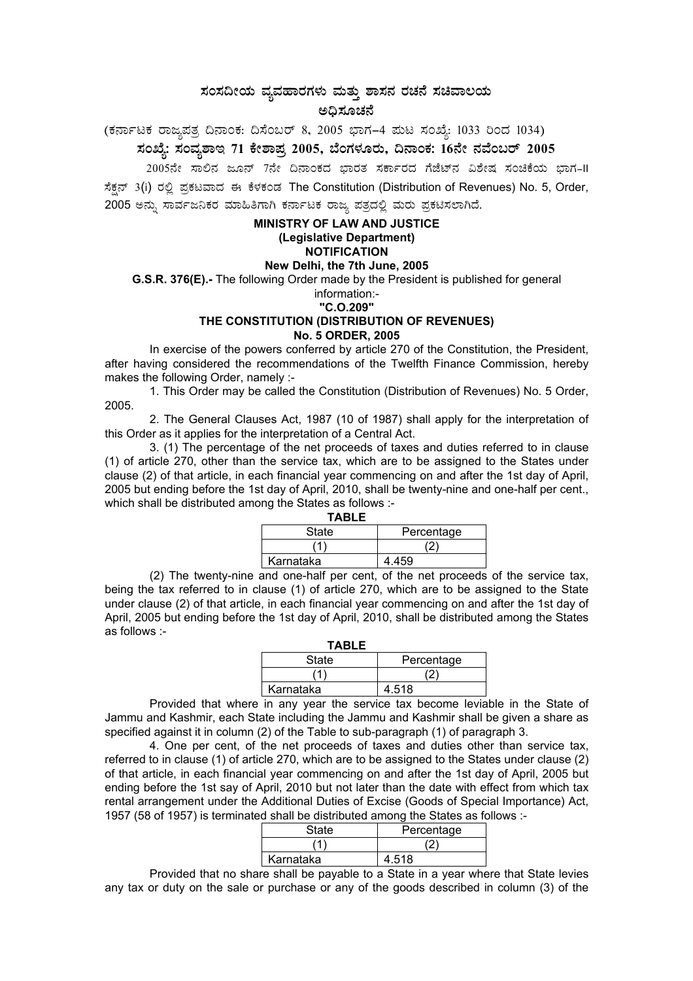## ಸಂಸದೀಯ ವ್ಯವಹಾರಗಳು ಮತ್ತು ಶಾಸನ ರಚನೆ ಸಚಿವಾಲಯ ಅದಿಸೂಚನೆ

(ಕರ್ನಾಟಕ ರಾಜ್ಯಪತ್ರ ದಿನಾಂಕ: ದಿಸೆಂಬರ್ 8, 2005 ಭಾಗ–4 ಮಟ ಸಂಖ್ಯೆ: 1033 ರಿಂದ 1034)

# ಸಂಖ್ಯೆ: ಸಂವೃಶಾಇ 71 ಕೇಶಾಪ್ರ 2005, ಬೆಂಗಳೂರು, ದಿನಾಂಕ: 16ನೇ ನವೆಂಬರ್ 2005

2005ನೇ ಸಾಲಿನ ಜೂನ್ 7ನೇ ದಿನಾಂಕದ ಭಾರತ ಸರ್ಕಾರದ ಗೆಜೆಟ್**ನ ವಿಶೇಷ ಸಂಚಿಕೆಯ ಭಾಗ-II** 

ಸೆಕ್ಷನ್ 3(i) ರಲ್ಲಿ ಪ್ರಕಟವಾದ ಈ ಕೆಳಕಂಡ The Constitution (Distribution of Revenues) No. 5, Order, 2005 ಅನ್ನು ಸಾರ್ವಜನಿಕರ ಮಾಹಿತಿಗಾಗಿ ಕರ್ನಾಟಕ ರಾಜ್ಯ ಪತ್ರದಲ್ಲಿ ಮರು ಪ್ರಕಟಿಸಲಾಗಿದೆ.

#### **MINISTRY OF LAW AND JUSTICE** (Legislative Department) **NOTIFICATION** New Delhi, the 7th June, 2005

G.S.R. 376(E).- The following Order made by the President is published for general

### information:-

#### "C.O.209"

### THE CONSTITUTION (DISTRIBUTION OF REVENUES) **No. 5 ORDER, 2005**

In exercise of the powers conferred by article 270 of the Constitution, the President, after having considered the recommendations of the Twelfth Finance Commission, hereby makes the following Order, namely :-

1. This Order may be called the Constitution (Distribution of Revenues) No. 5 Order. 2005.

2. The General Clauses Act, 1987 (10 of 1987) shall apply for the interpretation of this Order as it applies for the interpretation of a Central Act.

3. (1) The percentage of the net proceeds of taxes and duties referred to in clause (1) of article 270, other than the service tax, which are to be assigned to the States under clause (2) of that article, in each financial year commencing on and after the 1st day of April, 2005 but ending before the 1st day of April, 2010, shall be twenty-nine and one-half per cent., which shall be distributed among the States as follows :-

| TABLE     |            |
|-----------|------------|
| State     | Percentage |
|           |            |
| Karnataka | 4.459      |

(2) The twenty-nine and one-half per cent, of the net proceeds of the service tax, being the tax referred to in clause (1) of article 270, which are to be assigned to the State under clause (2) of that article, in each financial year commencing on and after the 1st day of April, 2005 but ending before the 1st day of April, 2010, shall be distributed among the States as follows :-

| IABLE     |            |
|-----------|------------|
| State     | Percentage |
|           |            |
| Karnataka | 4.518      |

Provided that where in any year the service tax become leviable in the State of Jammu and Kashmir, each State including the Jammu and Kashmir shall be given a share as specified against it in column (2) of the Table to sub-paragraph (1) of paragraph 3.

4. One per cent, of the net proceeds of taxes and duties other than service tax, referred to in clause (1) of article 270, which are to be assigned to the States under clause (2) of that article, in each financial year commencing on and after the 1st day of April, 2005 but ending before the 1st say of April, 2010 but not later than the date with effect from which tax rental arrangement under the Additional Duties of Excise (Goods of Special Importance) Act, 1957 (58 of 1957) is terminated shall be distributed among the States as follows :-

| <b>State</b> | Percentage |
|--------------|------------|
|              |            |
| Karnataka    | 4.518      |

Provided that no share shall be payable to a State in a year where that State levies any tax or duty on the sale or purchase or any of the goods described in column (3) of the